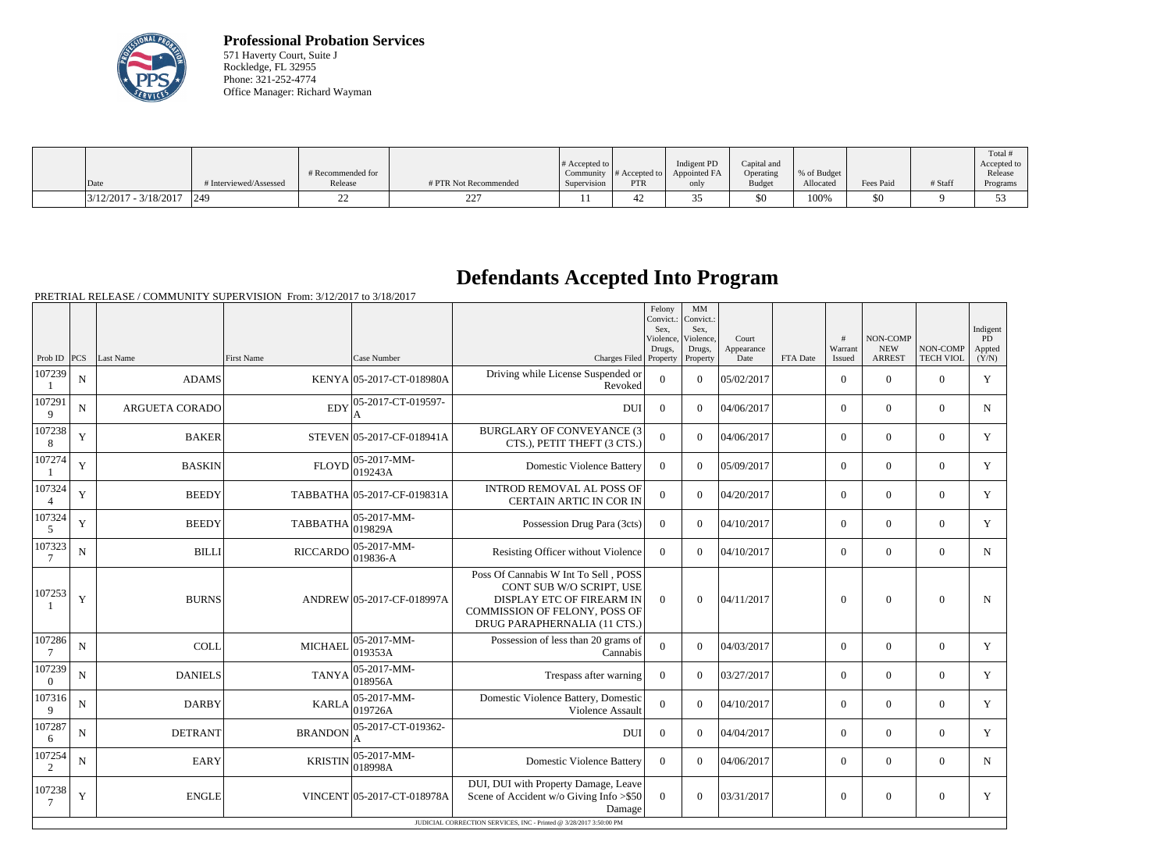

**Professional Probation Services** 571 Haverty Court, Suite J Rockledge, FL 32955 Phone: 321-252-4774 Office Manager: Richard Wayman

| Date                    | # Interviewed/Assessed | # Recommended for | # PTR Not Recommended | $\#$ Accepted to $\ $<br>Supervision | Community $\#$ Accepted to<br><b>PTR</b> | Indigent PD<br>Appointed FA | Capital and<br>Operating | % of Budget<br>Allocated | Fees Paid | # Staff | Total<br>Accepted to<br>Release |
|-------------------------|------------------------|-------------------|-----------------------|--------------------------------------|------------------------------------------|-----------------------------|--------------------------|--------------------------|-----------|---------|---------------------------------|
|                         |                        | Release           |                       |                                      |                                          | only                        | <b>Budget</b>            |                          |           |         | Programs                        |
| $3/12/2017 - 3/18/2017$ | $ 249\rangle$          |                   | $\mathbf{a}$<br>--    |                                      |                                          |                             | \$0                      | 100%                     | \$0       |         |                                 |

## **Defendants Accepted Into Program**

PRETRIAL RELEASE / COMMUNITY SUPERVISION From: 3/12/2017 to 3/18/2017

|                           |             |                       |                   |                               |                                                                                                                                                                       | Felony<br>Convict.:<br>Sex.<br>Violence, | MM<br>Convict.:<br>Sex,<br>Violence. | Court              |          | #                 | NON-COMP                    |                              | Indigent<br>PD  |
|---------------------------|-------------|-----------------------|-------------------|-------------------------------|-----------------------------------------------------------------------------------------------------------------------------------------------------------------------|------------------------------------------|--------------------------------------|--------------------|----------|-------------------|-----------------------------|------------------------------|-----------------|
| Prob ID $PCS$             |             | Last Name             | <b>First Name</b> | Case Number                   | Charges Filed Property                                                                                                                                                | Drugs,                                   | Drugs,<br>Property                   | Appearance<br>Date | FTA Date | Warrant<br>Issued | <b>NEW</b><br><b>ARREST</b> | NON-COMP<br><b>TECH VIOL</b> | Appted<br>(Y/N) |
| 107239                    | ${\bf N}$   | <b>ADAMS</b>          |                   | KENYA 05-2017-CT-018980A      | Driving while License Suspended or<br>Revoked                                                                                                                         | $\mathbf{0}$                             | $\Omega$                             | 05/02/2017         |          | $\overline{0}$    | $\boldsymbol{0}$            | $\overline{0}$               | Y               |
| 107291<br>9               | $\mathbf N$ | <b>ARGUETA CORADO</b> | EDY               | 05-2017-CT-019597-            | <b>DUI</b>                                                                                                                                                            | $\overline{0}$                           | $\overline{0}$                       | 04/06/2017         |          | $\overline{0}$    | $\mathbf{0}$                | $\overline{0}$               | N               |
| 107238<br>8               | Y           | <b>BAKER</b>          |                   | STEVEN 05-2017-CF-018941A     | <b>BURGLARY OF CONVEYANCE (3)</b><br>CTS.), PETIT THEFT (3 CTS.)                                                                                                      | $\overline{0}$                           | $\Omega$                             | 04/06/2017         |          | $\overline{0}$    | $\theta$                    | $\theta$                     | Y               |
| 107274                    | $\mathbf Y$ | <b>BASKIN</b>         | <b>FLOYD</b>      | $ 05-2017-MM-$<br>019243A     | <b>Domestic Violence Battery</b>                                                                                                                                      | $\mathbf{0}$                             | $\Omega$                             | 05/09/2017         |          | $\overline{0}$    | $\mathbf{0}$                | $\overline{0}$               | Y               |
| 107324<br>$\overline{4}$  | $\mathbf Y$ | <b>BEEDY</b>          |                   | TABBATHA 05-2017-CF-019831A   | <b>INTROD REMOVAL AL POSS OF</b><br><b>CERTAIN ARTIC IN COR IN</b>                                                                                                    | $\mathbf{0}$                             | $\overline{0}$                       | 04/20/2017         |          | $\overline{0}$    | $\mathbf{0}$                | $\overline{0}$               | Y               |
| 107324<br>5               | Y           | <b>BEEDY</b>          | <b>TABBATHA</b>   | 05-2017-MM-<br>019829A        | Possession Drug Para (3cts)                                                                                                                                           | $\overline{0}$                           | $\Omega$                             | 04/10/2017         |          | $\overline{0}$    | $\theta$                    | $\theta$                     | Y               |
| 107323<br>$7\phantom{.0}$ | $\mathbf N$ | <b>BILLI</b>          | <b>RICCARDO</b>   | $ 05-2017-MM-$<br>$ 019836-A$ | Resisting Officer without Violence                                                                                                                                    | $\overline{0}$                           | $\Omega$                             | 04/10/2017         |          | $\overline{0}$    | $\theta$                    | $\theta$                     | $\mathbf N$     |
| 107253                    | Y           | <b>BURNS</b>          |                   | ANDREW 05-2017-CF-018997A     | Poss Of Cannabis W Int To Sell, POSS<br>CONT SUB W/O SCRIPT, USE<br><b>DISPLAY ETC OF FIREARM IN</b><br>COMMISSION OF FELONY, POSS OF<br>DRUG PARAPHERNALIA (11 CTS.) | $\theta$                                 | $\overline{0}$                       | 04/11/2017         |          | $\overline{0}$    | $\overline{0}$              | $\overline{0}$               | $\mathbf N$     |
| 107286<br>7               | $\mathbf N$ | <b>COLL</b>           | <b>MICHAEL</b>    | $ 05-2017-MM-$<br>019353A     | Possession of less than 20 grams of<br>Cannabis                                                                                                                       | $\theta$                                 | $\overline{0}$                       | 04/03/2017         |          | $\overline{0}$    | $\mathbf{0}$                | $\overline{0}$               | Y               |
| 107239<br>$\Omega$        | $\mathbf N$ | <b>DANIELS</b>        | <b>TANYA</b>      | $ 05-2017-MM -$<br>018956A    | Trespass after warning                                                                                                                                                | $\overline{0}$                           | $\Omega$                             | 03/27/2017         |          | $\overline{0}$    | $\boldsymbol{0}$            | $\overline{0}$               | Y               |
| 107316<br>9               | $\mathbf N$ | <b>DARBY</b>          | <b>KARLA</b>      | $ 05-2017-MM-$<br> 019726A    | Domestic Violence Battery, Domestic<br>Violence Assault                                                                                                               | $\overline{0}$                           | $\overline{0}$                       | 04/10/2017         |          | $\overline{0}$    | $\mathbf{0}$                | $\overline{0}$               | Y               |
| 107287<br>6               | $\mathbf N$ | <b>DETRANT</b>        | <b>BRANDON</b>    | 05-2017-CT-019362-<br>A       | <b>DUI</b>                                                                                                                                                            | $\overline{0}$                           | $\Omega$                             | 04/04/2017         |          | $\overline{0}$    | $\mathbf{0}$                | $\overline{0}$               | Y               |
| 107254<br>2               | ${\bf N}$   | <b>EARY</b>           | <b>KRISTIN</b>    | 05-2017-MM-<br>018998A        | <b>Domestic Violence Battery</b>                                                                                                                                      | $\theta$                                 | $\Omega$                             | 04/06/2017         |          | $\Omega$          | $\theta$                    | $\theta$                     | $\mathbf N$     |
| 107238<br>7               | Y           | <b>ENGLE</b>          |                   | VINCENT 05-2017-CT-018978A    | DUI, DUI with Property Damage, Leave<br>Scene of Accident w/o Giving Info > \$50<br>Damage                                                                            | $\overline{0}$                           | $\theta$                             | 03/31/2017         |          | $\overline{0}$    | $\overline{0}$              | $\overline{0}$               | Y               |
|                           |             |                       |                   |                               | JUDICIAL CORRECTION SERVICES, INC - Printed @ 3/28/2017 3:50:00 PM                                                                                                    |                                          |                                      |                    |          |                   |                             |                              |                 |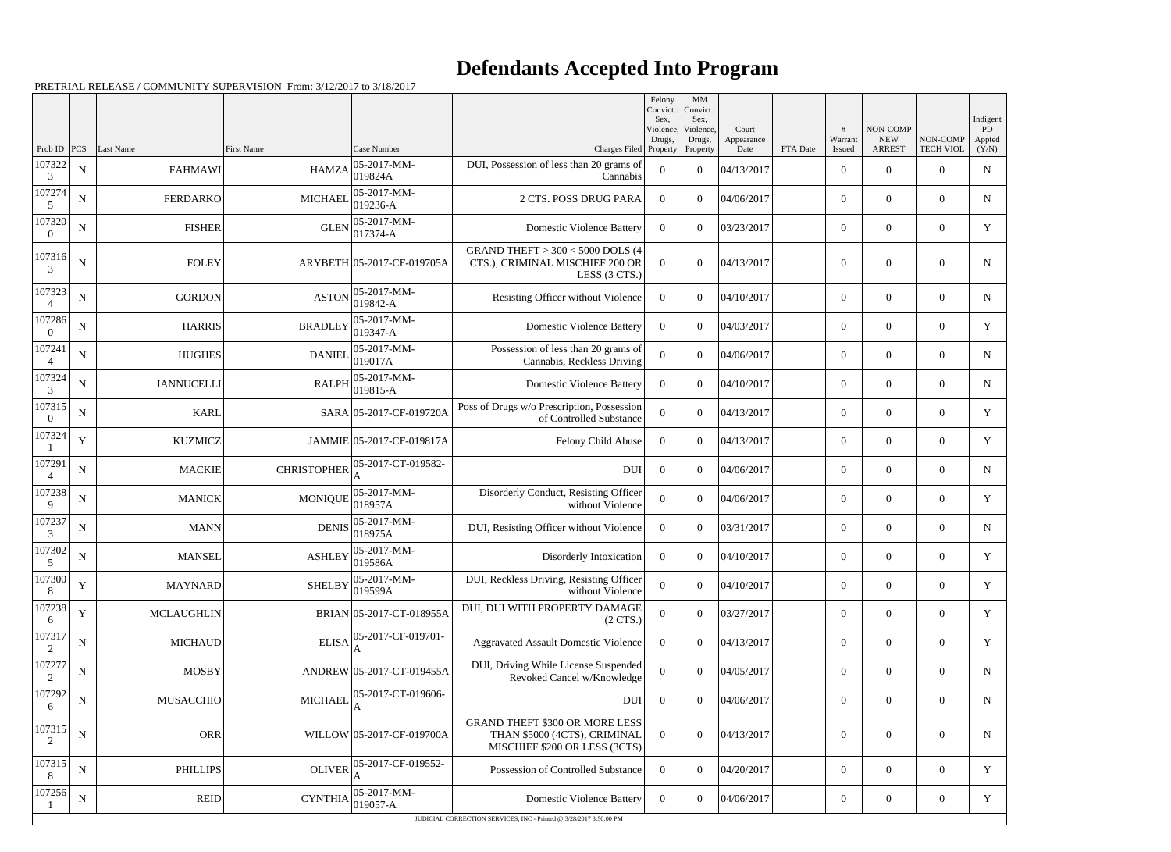## **Defendants Accepted Into Program**

PRETRIAL RELEASE / COMMUNITY SUPERVISION From: 3/12/2017 to 3/18/2017

|                          |             |                   |                    |                             |                                                                                                        | Felony<br>Convict.:<br>Sex. | MM<br>Convict.:<br>Sex, |                     |          |                  |                        |                  | Indigent     |
|--------------------------|-------------|-------------------|--------------------|-----------------------------|--------------------------------------------------------------------------------------------------------|-----------------------------|-------------------------|---------------------|----------|------------------|------------------------|------------------|--------------|
|                          |             |                   |                    |                             |                                                                                                        | Violence,<br>Drugs,         | Violence,<br>Drugs,     | Court<br>Appearance |          | #<br>Warrant     | NON-COMP<br><b>NEW</b> | NON-COMP         | PD<br>Appted |
| Prob ID                  | PCS         | Last Name         | <b>First Name</b>  | Case Number                 | Charges Filed Property                                                                                 |                             | Property                | Date                | FTA Date | Issued           | <b>ARREST</b>          | <b>TECH VIOL</b> | (Y/N)        |
| 107322<br>3              | ${\bf N}$   | <b>FAHMAWI</b>    | <b>HAMZA</b>       | 05-2017-MM-<br>019824A      | DUI, Possession of less than 20 grams of<br>Cannabis                                                   | $\boldsymbol{0}$            | $\overline{0}$          | 04/13/2017          |          | $\boldsymbol{0}$ | $\overline{0}$         | $\overline{0}$   | $\mathbf N$  |
| 107274<br>5              | $\mathbf N$ | <b>FERDARKO</b>   | <b>MICHAEL</b>     | 05-2017-MM-<br>$019236 - A$ | 2 CTS. POSS DRUG PARA                                                                                  | $\overline{0}$              | $\overline{0}$          | 04/06/2017          |          | $\overline{0}$   | $\overline{0}$         | $\overline{0}$   | ${\bf N}$    |
| 107320<br>$\Omega$       | ${\bf N}$   | <b>FISHER</b>     | <b>GLEN</b>        | 05-2017-MM-<br>017374-A     | <b>Domestic Violence Battery</b>                                                                       | $\overline{0}$              | $\overline{0}$          | 03/23/2017          |          | $\overline{0}$   | $\overline{0}$         | $\overline{0}$   | Y            |
| 107316<br>3              | $\mathbf N$ | <b>FOLEY</b>      |                    | ARYBETH 05-2017-CF-019705A  | GRAND THEFT $> 300 < 5000$ DOLS (4<br>CTS.), CRIMINAL MISCHIEF 200 OR<br>LESS (3 CTS.)                 | $\overline{0}$              | $\boldsymbol{0}$        | 04/13/2017          |          | $\overline{0}$   | $\overline{0}$         | $\overline{0}$   | $\mathbf N$  |
| 107323<br>$\overline{4}$ | ${\bf N}$   | <b>GORDON</b>     | <b>ASTON</b>       | 05-2017-MM-<br>019842-A     | Resisting Officer without Violence                                                                     | $\overline{0}$              | $\theta$                | 04/10/2017          |          | $\overline{0}$   | $\overline{0}$         | $\overline{0}$   | $\mathbf N$  |
| 107286<br>$\Omega$       | $\mathbf N$ | <b>HARRIS</b>     | <b>BRADLEY</b>     | 05-2017-MM-<br>$019347 - A$ | <b>Domestic Violence Battery</b>                                                                       | $\overline{0}$              | $\overline{0}$          | 04/03/2017          |          | $\overline{0}$   | $\overline{0}$         | $\overline{0}$   | Y            |
| 107241<br>$\overline{4}$ | ${\bf N}$   | <b>HUGHES</b>     | <b>DANIEL</b>      | 05-2017-MM-<br>019017A      | Possession of less than 20 grams of<br>Cannabis, Reckless Driving                                      | $\overline{0}$              | $\boldsymbol{0}$        | 04/06/2017          |          | $\overline{0}$   | $\overline{0}$         | $\overline{0}$   | $\mathbf N$  |
| 107324<br>3              | ${\bf N}$   | <b>IANNUCELLI</b> | <b>RALPH</b>       | 05-2017-MM-<br>019815-A     | <b>Domestic Violence Battery</b>                                                                       | $\overline{0}$              | $\overline{0}$          | 04/10/2017          |          | $\overline{0}$   | $\boldsymbol{0}$       | $\overline{0}$   | $\mathbf N$  |
| 107315<br>$\overline{0}$ | ${\bf N}$   | <b>KARL</b>       |                    | SARA 05-2017-CF-019720A     | Poss of Drugs w/o Prescription, Possession<br>of Controlled Substance                                  | $\overline{0}$              | $\boldsymbol{0}$        | 04/13/2017          |          | $\overline{0}$   | $\overline{0}$         | $\overline{0}$   | $\mathbf Y$  |
| 107324                   | $\mathbf Y$ | <b>KUZMICZ</b>    |                    | JAMMIE 05-2017-CF-019817A   | Felony Child Abuse                                                                                     | $\overline{0}$              | $\overline{0}$          | 04/13/2017          |          | $\overline{0}$   | $\overline{0}$         | $\overline{0}$   | Y            |
| 107291<br>$\overline{4}$ | ${\bf N}$   | <b>MACKIE</b>     | <b>CHRISTOPHER</b> | 05-2017-CT-019582-          | <b>DUI</b>                                                                                             | $\overline{0}$              | $\overline{0}$          | 04/06/2017          |          | $\overline{0}$   | $\overline{0}$         | $\overline{0}$   | $\mathbf N$  |
| 107238<br>9              | ${\bf N}$   | <b>MANICK</b>     | <b>MONIQUE</b>     | 05-2017-MM-<br>018957A      | Disorderly Conduct, Resisting Officer<br>without Violence                                              | $\boldsymbol{0}$            | $\overline{0}$          | 04/06/2017          |          | $\overline{0}$   | $\boldsymbol{0}$       | $\overline{0}$   | Y            |
| 107237<br>3              | ${\bf N}$   | <b>MANN</b>       | <b>DENIS</b>       | 05-2017-MM-<br>018975A      | DUI, Resisting Officer without Violence                                                                | $\overline{0}$              | $\overline{0}$          | 03/31/2017          |          | $\overline{0}$   | $\overline{0}$         | $\overline{0}$   | $\mathbf N$  |
| 107302<br>5              | $\mathbf N$ | <b>MANSEL</b>     | <b>ASHLEY</b>      | 05-2017-MM-<br>019586A      | Disorderly Intoxication                                                                                | $\overline{0}$              | $\overline{0}$          | 04/10/2017          |          | $\overline{0}$   | $\overline{0}$         | $\overline{0}$   | Y            |
| 107300<br>8              | $\mathbf Y$ | <b>MAYNARD</b>    | <b>SHELBY</b>      | 05-2017-MM-<br>019599A      | DUI, Reckless Driving, Resisting Officer<br>without Violence                                           | $\overline{0}$              | $\boldsymbol{0}$        | 04/10/2017          |          | $\overline{0}$   | $\boldsymbol{0}$       | $\overline{0}$   | Y            |
| 107238<br>-6             | Y           | MCLAUGHLIN        |                    | BRIAN 05-2017-CT-018955A    | DUI, DUI WITH PROPERTY DAMAGE<br>$(2 \text{ CTS})$                                                     | $\boldsymbol{0}$            | $\overline{0}$          | 03/27/2017          |          | $\overline{0}$   | $\boldsymbol{0}$       | $\boldsymbol{0}$ | Y            |
| 107317<br>2              | ${\bf N}$   | <b>MICHAUD</b>    | <b>ELISA</b>       | 05-2017-CF-019701-          | <b>Aggravated Assault Domestic Violence</b>                                                            | $\overline{0}$              | $\boldsymbol{0}$        | 04/13/2017          |          | $\boldsymbol{0}$ | $\boldsymbol{0}$       | $\overline{0}$   | Y            |
| 107277<br>2              | ${\bf N}$   | <b>MOSBY</b>      |                    | ANDREW 05-2017-CT-019455A   | DUI, Driving While License Suspended<br>Revoked Cancel w/Knowledge                                     | $\boldsymbol{0}$            | $\overline{0}$          | 04/05/2017          |          | $\overline{0}$   | $\overline{0}$         | $\boldsymbol{0}$ | $\mathbf N$  |
| 107292<br>6              | ${\bf N}$   | <b>MUSACCHIO</b>  | <b>MICHAEL</b>     | 05-2017-CT-019606-<br>A     | <b>DUI</b>                                                                                             | $\overline{0}$              | $\overline{0}$          | 04/06/2017          |          | $\overline{0}$   | $\overline{0}$         | $\overline{0}$   | $\mathbf N$  |
| 107315<br>2              | $\mathbf N$ | <b>ORR</b>        |                    | WILLOW 05-2017-CF-019700A   | <b>GRAND THEFT \$300 OR MORE LESS</b><br>THAN \$5000 (4CTS), CRIMINAL<br>MISCHIEF \$200 OR LESS (3CTS) | $\overline{0}$              | $\boldsymbol{0}$        | 04/13/2017          |          | $\boldsymbol{0}$ | $\boldsymbol{0}$       | $\boldsymbol{0}$ | $\mathbf N$  |
| 107315<br>8              | $\mathbf N$ | <b>PHILLIPS</b>   | <b>OLIVER</b>      | 05-2017-CF-019552-          | Possession of Controlled Substance                                                                     | $\overline{0}$              | $\boldsymbol{0}$        | 04/20/2017          |          | $\overline{0}$   | $\overline{0}$         | $\overline{0}$   | Y            |
| 107256                   | $\mathbf N$ | REID              | <b>CYNTHIA</b>     | 05-2017-MM-<br>019057-A     | <b>Domestic Violence Battery</b>                                                                       | $\overline{0}$              | $\boldsymbol{0}$        | 04/06/2017          |          | $\boldsymbol{0}$ | $\overline{0}$         | $\boldsymbol{0}$ | Y            |
|                          |             |                   |                    |                             | JUDICIAL CORRECTION SERVICES, INC - Printed @ 3/28/2017 3:50:00 PM                                     |                             |                         |                     |          |                  |                        |                  |              |